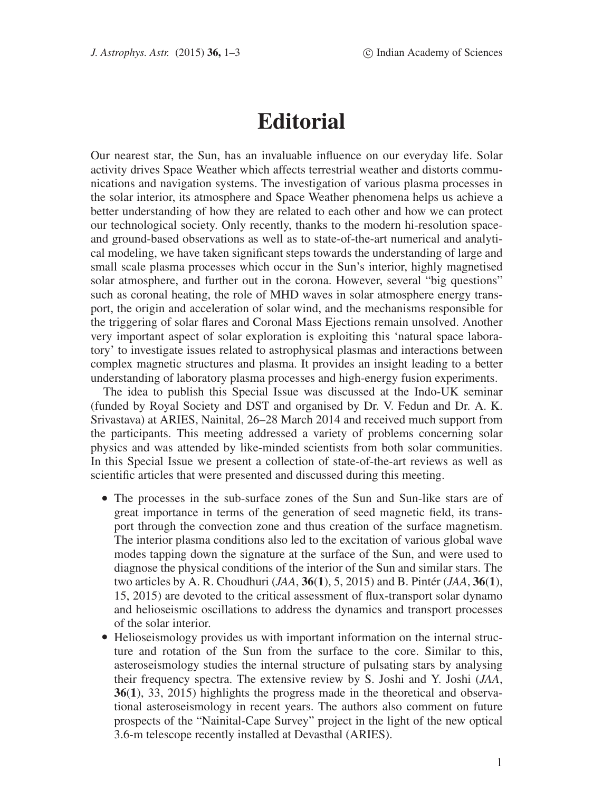## **Editorial**

Our nearest star, the Sun, has an invaluable influence on our everyday life. Solar activity drives Space Weather which affects terrestrial weather and distorts communications and navigation systems. The investigation of various plasma processes in the solar interior, its atmosphere and Space Weather phenomena helps us achieve a better understanding of how they are related to each other and how we can protect our technological society. Only recently, thanks to the modern hi-resolution spaceand ground-based observations as well as to state-of-the-art numerical and analytical modeling, we have taken significant steps towards the understanding of large and small scale plasma processes which occur in the Sun's interior, highly magnetised solar atmosphere, and further out in the corona. However, several "big questions" such as coronal heating, the role of MHD waves in solar atmosphere energy transport, the origin and acceleration of solar wind, and the mechanisms responsible for the triggering of solar flares and Coronal Mass Ejections remain unsolved. Another very important aspect of solar exploration is exploiting this 'natural space laboratory' to investigate issues related to astrophysical plasmas and interactions between complex magnetic structures and plasma. It provides an insight leading to a better understanding of laboratory plasma processes and high-energy fusion experiments.

The idea to publish this Special Issue was discussed at the Indo-UK seminar (funded by Royal Society and DST and organised by Dr. V. Fedun and Dr. A. K. Srivastava) at ARIES, Nainital, 26–28 March 2014 and received much support from the participants. This meeting addressed a variety of problems concerning solar physics and was attended by like-minded scientists from both solar communities. In this Special Issue we present a collection of state-of-the-art reviews as well as scientific articles that were presented and discussed during this meeting.

- The processes in the sub-surface zones of the Sun and Sun-like stars are of great importance in terms of the generation of seed magnetic field, its transport through the convection zone and thus creation of the surface magnetism. The interior plasma conditions also led to the excitation of various global wave modes tapping down the signature at the surface of the Sun, and were used to diagnose the physical conditions of the interior of the Sun and similar stars. The two articles by A. R. Choudhuri (*JAA*, **36**(**1**), 5, 2015) and B. Pintér (*JAA*, **36**(**1**), 15, 2015) are devoted to the critical assessment of flux-transport solar dynamo and helioseismic oscillations to address the dynamics and transport processes of the solar interior.
- Helioseismology provides us with important information on the internal structure and rotation of the Sun from the surface to the core. Similar to this, asteroseismology studies the internal structure of pulsating stars by analysing their frequency spectra. The extensive review by S. Joshi and Y. Joshi (*JAA*, **36**(**1**), 33, 2015) highlights the progress made in the theoretical and observational asteroseismology in recent years. The authors also comment on future prospects of the "Nainital-Cape Survey" project in the light of the new optical 3.6-m telescope recently installed at Devasthal (ARIES).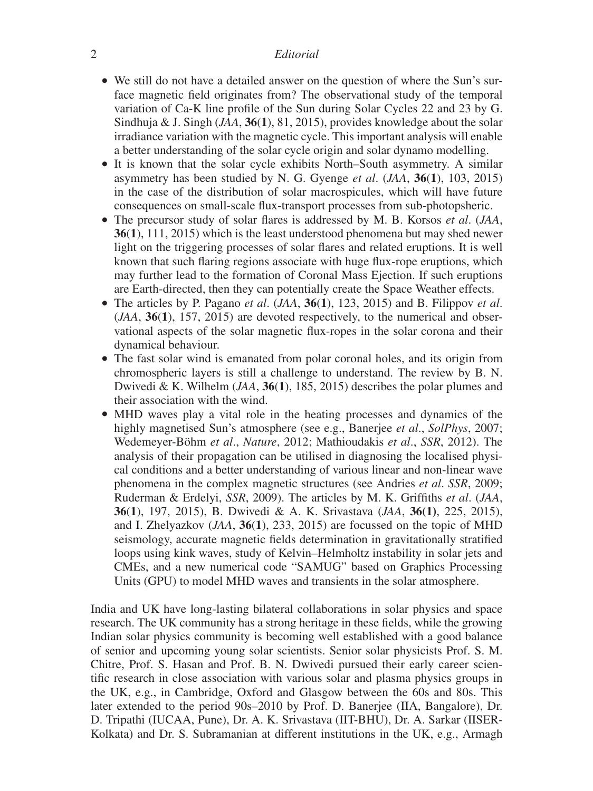## 2 *Editorial*

- We still do not have a detailed answer on the question of where the Sun's surface magnetic field originates from? The observational study of the temporal variation of Ca-K line profile of the Sun during Solar Cycles 22 and 23 by G. Sindhuja & J. Singh (*JAA*, **36**(**1**), 81, 2015), provides knowledge about the solar irradiance variation with the magnetic cycle. This important analysis will enable a better understanding of the solar cycle origin and solar dynamo modelling.
- It is known that the solar cycle exhibits North–South asymmetry. A similar asymmetry has been studied by N. G. Gyenge *et al*. (*JAA*, **36**(**1**), 103, 2015) in the case of the distribution of solar macrospicules, which will have future consequences on small-scale flux-transport processes from sub-photopsheric.
- The precursor study of solar flares is addressed by M. B. Korsos *et al*. (*JAA*, **36**(**1**), 111, 2015) which is the least understood phenomena but may shed newer light on the triggering processes of solar flares and related eruptions. It is well known that such flaring regions associate with huge flux-rope eruptions, which may further lead to the formation of Coronal Mass Ejection. If such eruptions are Earth-directed, then they can potentially create the Space Weather effects.
- The articles by P. Pagano *et al*. (*JAA*, **36**(**1**), 123, 2015) and B. Filippov *et al*. (*JAA*, **36**(**1**), 157, 2015) are devoted respectively, to the numerical and observational aspects of the solar magnetic flux-ropes in the solar corona and their dynamical behaviour.
- The fast solar wind is emanated from polar coronal holes, and its origin from chromospheric layers is still a challenge to understand. The review by B. N. Dwivedi & K. Wilhelm (*JAA*, **36**(**1**), 185, 2015) describes the polar plumes and their association with the wind.
- MHD waves play a vital role in the heating processes and dynamics of the highly magnetised Sun's atmosphere (see e.g., Banerjee *et al*., *SolPhys*, 2007; Wedemeyer-Böhm *et al*., *Nature*, 2012; Mathioudakis *et al*., *SSR*, 2012). The analysis of their propagation can be utilised in diagnosing the localised physical conditions and a better understanding of various linear and non-linear wave phenomena in the complex magnetic structures (see Andries *et al*. *SSR*, 2009; Ruderman & Erdelyi, *SSR*, 2009). The articles by M. K. Griffiths *et al*. (*JAA*, **36**(**1**), 197, 2015), B. Dwivedi & A. K. Srivastava (*JAA*, **36(1)**, 225, 2015), and I. Zhelyazkov (*JAA*, **36**(**1**), 233, 2015) are focussed on the topic of MHD seismology, accurate magnetic fields determination in gravitationally stratified loops using kink waves, study of Kelvin–Helmholtz instability in solar jets and CMEs, and a new numerical code "SAMUG" based on Graphics Processing Units (GPU) to model MHD waves and transients in the solar atmosphere.

India and UK have long-lasting bilateral collaborations in solar physics and space research. The UK community has a strong heritage in these fields, while the growing Indian solar physics community is becoming well established with a good balance of senior and upcoming young solar scientists. Senior solar physicists Prof. S. M. Chitre, Prof. S. Hasan and Prof. B. N. Dwivedi pursued their early career scientific research in close association with various solar and plasma physics groups in the UK, e.g., in Cambridge, Oxford and Glasgow between the 60s and 80s. This later extended to the period 90s–2010 by Prof. D. Banerjee (IIA, Bangalore), Dr. D. Tripathi (IUCAA, Pune), Dr. A. K. Srivastava (IIT-BHU), Dr. A. Sarkar (IISER-Kolkata) and Dr. S. Subramanian at different institutions in the UK, e.g., Armagh